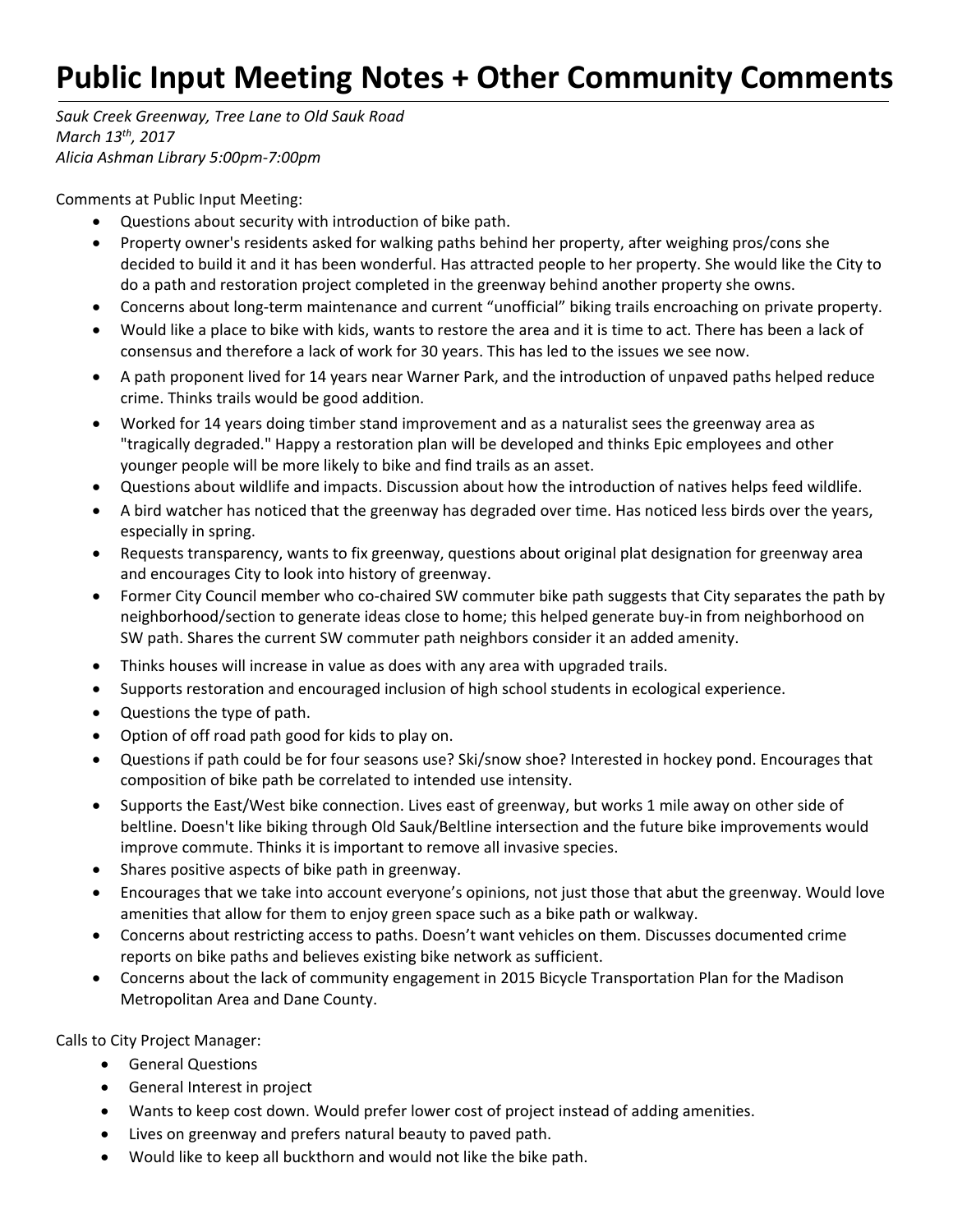## **Public Input Meeting Notes + Other Community Comments**

*Sauk Creek Greenway, Tree Lane to Old Sauk Road March 13th, 2017 Alicia Ashman Library 5:00pm‐7:00pm*

Comments at Public Input Meeting:

- Questions about security with introduction of bike path.
- Property owner's residents asked for walking paths behind her property, after weighing pros/cons she decided to build it and it has been wonderful. Has attracted people to her property. She would like the City to do a path and restoration project completed in the greenway behind another property she owns.
- Concerns about long‐term maintenance and current "unofficial" biking trails encroaching on private property.
- Would like a place to bike with kids, wants to restore the area and it is time to act. There has been a lack of consensus and therefore a lack of work for 30 years. This has led to the issues we see now.
- A path proponent lived for 14 years near Warner Park, and the introduction of unpaved paths helped reduce crime. Thinks trails would be good addition.
- Worked for 14 years doing timber stand improvement and as a naturalist sees the greenway area as "tragically degraded." Happy a restoration plan will be developed and thinks Epic employees and other younger people will be more likely to bike and find trails as an asset.
- Questions about wildlife and impacts. Discussion about how the introduction of natives helps feed wildlife.
- A bird watcher has noticed that the greenway has degraded over time. Has noticed less birds over the years, especially in spring.
- Requests transparency, wants to fix greenway, questions about original plat designation for greenway area and encourages City to look into history of greenway.
- Former City Council member who co-chaired SW commuter bike path suggests that City separates the path by neighborhood/section to generate ideas close to home; this helped generate buy‐in from neighborhood on SW path. Shares the current SW commuter path neighbors consider it an added amenity.
- Thinks houses will increase in value as does with any area with upgraded trails.
- Supports restoration and encouraged inclusion of high school students in ecological experience.
- Questions the type of path.
- Option of off road path good for kids to play on.
- Questions if path could be for four seasons use? Ski/snow shoe? Interested in hockey pond. Encourages that composition of bike path be correlated to intended use intensity.
- Supports the East/West bike connection. Lives east of greenway, but works 1 mile away on other side of beltline. Doesn't like biking through Old Sauk/Beltline intersection and the future bike improvements would improve commute. Thinks it is important to remove all invasive species.
- Shares positive aspects of bike path in greenway.
- Encourages that we take into account everyone's opinions, not just those that abut the greenway. Would love amenities that allow for them to enjoy green space such as a bike path or walkway.
- Concerns about restricting access to paths. Doesn't want vehicles on them. Discusses documented crime reports on bike paths and believes existing bike network as sufficient.
- Concerns about the lack of community engagement in 2015 Bicycle Transportation Plan for the Madison Metropolitan Area and Dane County.

Calls to City Project Manager:

- **•** General Questions
- General Interest in project
- Wants to keep cost down. Would prefer lower cost of project instead of adding amenities.
- Lives on greenway and prefers natural beauty to paved path.
- Would like to keep all buckthorn and would not like the bike path.